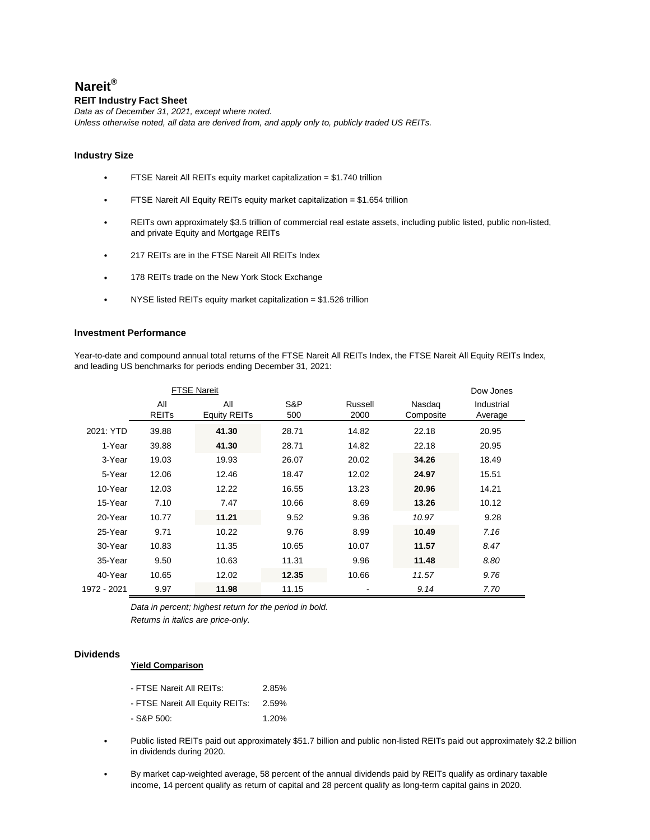# **Nareit®**

### **REIT Industry Fact Sheet**

*Data as of December 31, 2021, except where noted. Unless otherwise noted, all data are derived from, and apply only to, publicly traded US REITs.*

#### **Industry Size**

- FTSE Nareit All REITs equity market capitalization = \$1.740 trillion  $\cdot$
- FTSE Nareit All Equity REITs equity market capitalization = \$1.654 trillion J.
- REITs own approximately \$3.5 trillion of commercial real estate assets, including public listed, public non-listed, and private Equity and Mortgage REITs
- 217 REITs are in the FTSE Nareit All REITs Index
- 178 REITs trade on the New York Stock Exchange
- NYSE listed REITs equity market capitalization = \$1.526 trillion

#### **Investment Performance**

Year-to-date and compound annual total returns of the FTSE Nareit All REITs Index, the FTSE Nareit All Equity REITs Index, and leading US benchmarks for periods ending December 31, 2021:

|             |                     | <b>FTSE Nareit</b>         |            |                 |                     | Dow Jones             |
|-------------|---------------------|----------------------------|------------|-----------------|---------------------|-----------------------|
|             | All<br><b>REITS</b> | All<br><b>Equity REITs</b> | S&P<br>500 | Russell<br>2000 | Nasdag<br>Composite | Industrial<br>Average |
| 2021: YTD   | 39.88               | 41.30                      | 28.71      | 14.82           | 22.18               | 20.95                 |
| 1-Year      | 39.88               | 41.30                      | 28.71      | 14.82           | 22.18               | 20.95                 |
| 3-Year      | 19.03               | 19.93                      | 26.07      | 20.02           | 34.26               | 18.49                 |
| 5-Year      | 12.06               | 12.46                      | 18.47      | 12.02           | 24.97               | 15.51                 |
| 10-Year     | 12.03               | 12.22                      | 16.55      | 13.23           | 20.96               | 14.21                 |
| 15-Year     | 7.10                | 7.47                       | 10.66      | 8.69            | 13.26               | 10.12                 |
| 20-Year     | 10.77               | 11.21                      | 9.52       | 9.36            | 10.97               | 9.28                  |
| 25-Year     | 9.71                | 10.22                      | 9.76       | 8.99            | 10.49               | 7.16                  |
| 30-Year     | 10.83               | 11.35                      | 10.65      | 10.07           | 11.57               | 8.47                  |
| 35-Year     | 9.50                | 10.63                      | 11.31      | 9.96            | 11.48               | 8.80                  |
| 40-Year     | 10.65               | 12.02                      | 12.35      | 10.66           | 11.57               | 9.76                  |
| 1972 - 2021 | 9.97                | 11.98                      | 11.15      |                 | 9.14                | 7.70                  |

*Data in percent; highest return for the period in bold. Returns in italics are price-only.*

### **Dividends**

### **Yield Comparison**

| - FTSE Nareit All REITs:        | 2.85% |
|---------------------------------|-------|
| - FTSE Nareit All Equity REITs: | 2.59% |
| - S&P 500:                      | 1.20% |

- Public listed REITs paid out approximately \$51.7 billion and public non-listed REITs paid out approximately \$2.2 billion in dividends during 2020.
- By market cap-weighted average, 58 percent of the annual dividends paid by REITs qualify as ordinary taxable income, 14 percent qualify as return of capital and 28 percent qualify as long-term capital gains in 2020.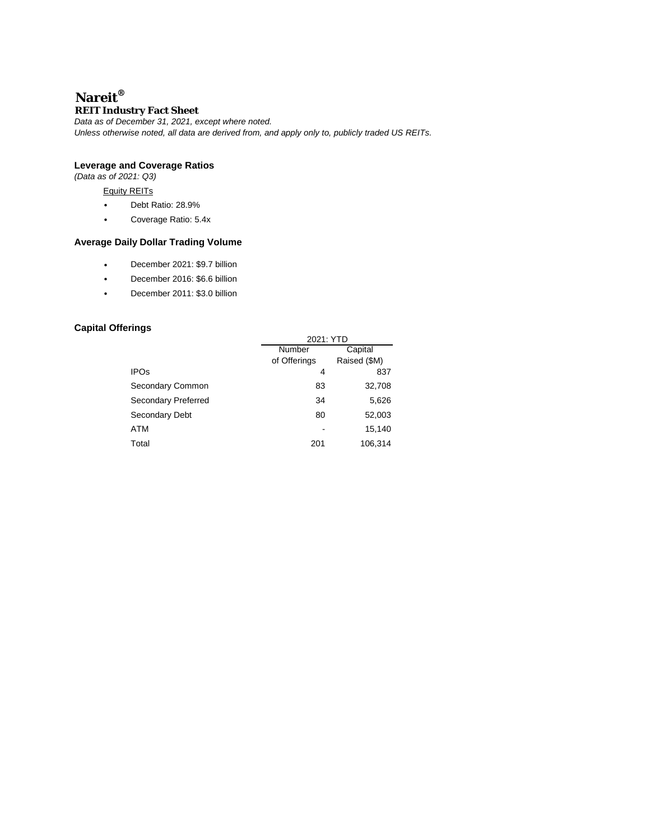# **Nareit® REIT Industry Fact Sheet**

*Data as of December 31, 2021, except where noted. Unless otherwise noted, all data are derived from, and apply only to, publicly traded US REITs.*

## **Leverage and Coverage Ratios**

*(Data as of 2021: Q3)*

### **Equity REITs**

- Debt Ratio: 28.9% t,
- Coverage Ratio: 5.4x $\mathbf{r}$

## **Average Daily Dollar Trading Volume**

- December 2021: \$9.7 billion  $\overline{a}$
- December 2016: \$6.6 billion  $\overline{a}$
- December 2011: \$3.0 billion

## **Capital Offerings**

|                     | 2021: YTD         |              |  |  |  |
|---------------------|-------------------|--------------|--|--|--|
|                     | Capital<br>Number |              |  |  |  |
|                     | of Offerings      | Raised (\$M) |  |  |  |
| <b>IPOs</b>         | 4                 | 837          |  |  |  |
| Secondary Common    | 83                | 32,708       |  |  |  |
| Secondary Preferred | 34                | 5,626        |  |  |  |
| Secondary Debt      | 80                | 52,003       |  |  |  |
| ATM                 |                   | 15,140       |  |  |  |
| Total               | 201               | 106.314      |  |  |  |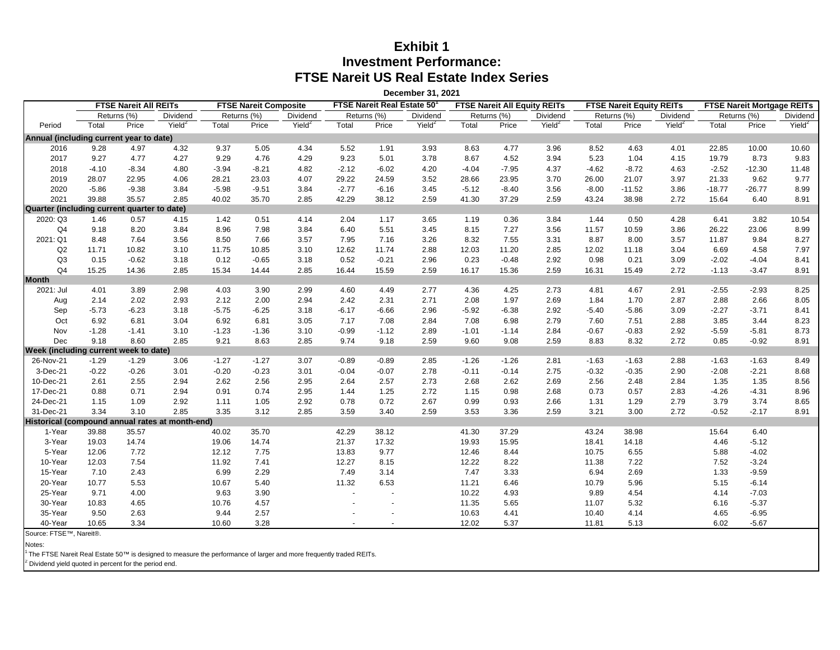# **Exhibit 1 Investment Performance: FTSE Nareit US Real Estate Index Series**

**December 31, 2021**

**FTSE Nareit All REITs FTSE Nareit Composite FTSE Nareit Real Estate 501 FTSE Nareit All Equity REITs FTSE Nareit Equity REITs FTSE Nareit Mortgage REITs** Returns (%) Dividend Returns (%) Dividend Returns (%) Dividend Returns (%) Dividend Returns (%) Dividend Returns (%) Dividend Period Total Price Yield<sup>2</sup> Total Price Yield<sup>2</sup> Total Price Yield<sup>2</sup> Total Price Yield<sup>2</sup> Total Price Yield<sup>2</sup> Total Price Yield<sup>2</sup> **Annual (including current year to date)** 2016 9.28 4.97 4.32 9.37 5.05 4.34 5.52 1.91 3.93 8.63 4.77 3.96 8.52 4.63 4.01 22.85 10.00 10.60 2017 9.27 4.77 4.27 9.29 4.76 4.29 9.23 5.01 3.78 8.67 4.52 3.94 5.23 1.04 4.15 19.79 8.73 9.83 2018 -4.10 -8.34 4.80 -3.94 -8.21 4.82 -2.12 -6.02 4.20 -4.04 -7.95 4.37 -4.62 -8.72 4.63 -2.52 -12.30 11.48 2019 28.07 22.95 4.06 28.21 23.03 4.07 29.22 24.59 3.52 28.66 23.95 3.70 26.00 21.07 3.97 21.33 9.62 9.77 2020 -5.86 -9.38 3.84 -5.98 -9.51 3.84 -2.77 -6.16 3.45 -5.12 -8.40 3.56 -8.00 -11.52 3.86 -18.77 -26.77 8.99 2021 39.88 35.57 2.85 40.02 35.70 2.85 42.29 38.12 2.59 41.30 37.29 2.59 43.24 38.98 2.72 15.64 6.40 8.91 **Quarter (including current quarter to date)** 2020: Q3 1.46 0.57 4.15 1.42 0.51 4.14 2.04 1.17 3.65 1.19 0.36 3.84 1.44 0.50 4.28 6.41 3.82 10.54 Q4 9.18 8.20 3.84 8.96 7.98 3.84 6.40 5.51 3.45 8.15 7.27 3.56 11.57 10.59 3.86 26.22 23.06 8.99 2021: Q1 8.48 7.64 3.56 8.50 7.66 3.57 7.95 7.16 3.26 8.32 7.55 3.31 8.87 8.00 3.57 11.87 9.84 8.27 Q2 11.71 10.82 3.10 11.75 10.85 3.10 12.62 11.74 2.88 12.03 11.20 2.85 12.02 11.18 3.04 6.69 4.58 7.97 Q3 0.15 -0.62 3.18 0.12 -0.65 3.18 0.52 -0.21 2.96 0.23 -0.48 2.92 0.98 0.21 3.09 -2.02 -4.04 8.41 Q4 15.25 14.36 2.85 15.34 14.44 2.85 16.44 15.59 2.59 16.17 15.36 2.59 16.31 15.49 2.72 -1.13 -3.47 8.91 **Month** 2021: Jul 4.01 3.89 2.98 4.03 3.90 2.99 4.60 4.49 2.77 4.36 4.25 2.73 4.81 4.67 2.91 -2.55 -2.93 8.25 Aug 2.14 2.02 2.93 2.12 2.00 2.94 2.42 2.31 2.71 2.08 1.97 2.69 1.84 1.70 2.87 2.88 2.66 8.05 Sep -5.73 -6.23 3.18 -5.75 -6.25 3.18 -6.17 -6.66 2.96 -5.92 -6.38 2.92 -5.40 -5.86 3.09 -2.27 -3.71 8.41 Oct 6.92 6.81 3.04 6.92 6.81 3.05 7.17 7.08 2.84 7.08 6.98 2.79 7.60 7.51 2.88 3.85 3.44 8.23 Nov -1.28 -1.41 3.10 -1.23 -1.36 3.10 -0.99 -1.12 2.89 -1.01 -1.14 2.84 -0.67 -0.83 2.92 -5.59 -5.81 8.73 Dec 9.18 8.60 2.85 9.21 8.63 2.85 9.74 9.18 2.59 9.60 9.08 2.59 8.83 8.32 2.72 0.85 -0.92 8.91 **Week (including current week to date)** 26-Nov-21 -1.29 -1.29 3.06 -1.27 -1.27 3.07 -0.89 -0.89 2.85 -1.26 -1.26 2.81 -1.63 -1.63 2.88 -1.63 -1.63 8.49 3-Dec-21 -0.22 -0.26 3.01 -0.20 -0.23 3.01 -0.04 -0.07 2.78 -0.11 -0.14 2.75 -0.32 -0.35 2.90 -2.08 -2.21 8.68 10-Dec-21 2.61 2.55 2.94 2.62 2.56 2.95 2.64 2.57 2.73 2.68 2.62 2.69 2.56 2.48 2.84 1.35 1.35 8.56 17-Dec-21 0.88 0.71 2.94 0.91 0.74 2.95 1.44 1.25 2.72 1.15 0.98 2.68 0.73 0.57 2.83 -4.26 -4.31 8.96 24-Dec-21 1.15 1.09 2.92 1.11 1.05 2.92 0.78 0.72 2.67 0.99 0.93 2.66 1.31 1.29 2.79 3.79 3.74 8.65 31-Dec-21 3.34 3.10 2.85 3.35 3.12 2.85 3.59 3.40 2.59 3.53 3.36 2.59 3.21 3.00 2.72 -0.52 -2.17 8.91 **Historical (compound annual rates at month-end)** 1-Year 39.88 35.57 40.02 35.70 42.29 38.12 41.30 37.29 43.24 38.98 15.64 6.40 3-Year 19.03 14.74 19.06 14.74 21.37 17.32 19.93 15.95 18.41 14.18 4.46 -5.12 5-Year 12.06 7.72 12.12 7.75 13.83 9.77 12.46 8.44 10.75 6.55 5.88 -4.02 10-Year 12.03 7.54 11.92 7.41 12.27 8.15 12.22 8.22 11.38 7.22 7.52 -3.24 15-Year 7.10 2.43 6.99 2.29 7.49 3.14 7.47 3.33 6.94 2.69 1.33 -9.59 20-Year 10.77 5.53 10.67 5.40 11.32 6.53 11.21 6.46 10.79 5.96 5.15 -6.14 25-Year 9.71 4.00 9.63 3.90 - - 10.22 4.93 9.89 4.54 4.14 -7.03 30-Year 10.83 4.65 10.76 4.57 - - 11.35 5.65 11.07 5.32 6.16 -5.37 35-Year 9.50 2.63 9.44 2.57 - - 10.63 4.41 10.40 4.14 4.65 -6.95 40-Year 10.65 3.34 10.60 3.28 - - 12.02 5.37 11.81 5.13 6.02 -5.67

Source: FTSE™, Nareit®.

Notes:

The FTSE Nareit Real Estate 50™ is designed to measure the performance of larger and more frequently traded REITs.

<sup>2</sup> Dividend yield quoted in percent for the period end.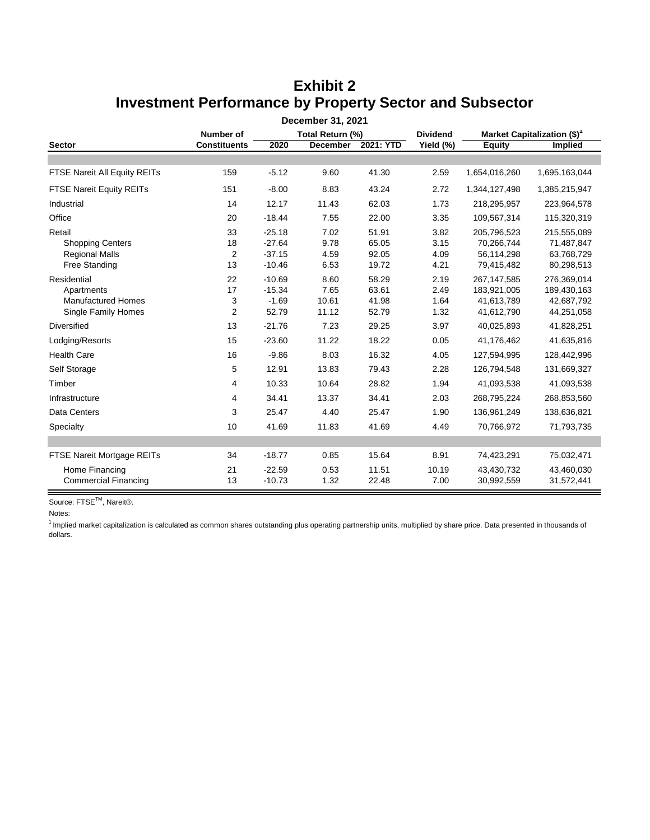| December 31, 2021               |                     |                 |                                         |           |           |               |                |  |
|---------------------------------|---------------------|-----------------|-----------------------------------------|-----------|-----------|---------------|----------------|--|
|                                 | <b>Number of</b>    | <b>Dividend</b> | Market Capitalization (\$) <sup>1</sup> |           |           |               |                |  |
| <b>Sector</b>                   | <b>Constituents</b> | 2020            | <b>December</b>                         | 2021: YTD | Yield (%) | <b>Equity</b> | <b>Implied</b> |  |
|                                 |                     |                 |                                         |           |           |               |                |  |
| FTSE Nareit All Equity REITs    | 159                 | $-5.12$         | 9.60                                    | 41.30     | 2.59      | 1,654,016,260 | 1,695,163,044  |  |
| <b>FTSE Nareit Equity REITs</b> | 151                 | $-8.00$         | 8.83                                    | 43.24     | 2.72      | 1,344,127,498 | 1,385,215,947  |  |
| Industrial                      | 14                  | 12.17           | 11.43                                   | 62.03     | 1.73      | 218,295,957   | 223,964,578    |  |
| Office                          | 20                  | $-18.44$        | 7.55                                    | 22.00     | 3.35      | 109,567,314   | 115,320,319    |  |
| Retail                          | 33                  | $-25.18$        | 7.02                                    | 51.91     | 3.82      | 205,796,523   | 215,555,089    |  |
| <b>Shopping Centers</b>         | 18                  | $-27.64$        | 9.78                                    | 65.05     | 3.15      | 70,266,744    | 71,487,847     |  |
| <b>Regional Malls</b>           | 2                   | $-37.15$        | 4.59                                    | 92.05     | 4.09      | 56,114,298    | 63,768,729     |  |
| Free Standing                   | 13                  | $-10.46$        | 6.53                                    | 19.72     | 4.21      | 79,415,482    | 80,298,513     |  |
| Residential                     | 22                  | $-10.69$        | 8.60                                    | 58.29     | 2.19      | 267, 147, 585 | 276,369,014    |  |
| Apartments                      | 17                  | $-15.34$        | 7.65                                    | 63.61     | 2.49      | 183,921,005   | 189,430,163    |  |
| <b>Manufactured Homes</b>       | 3                   | $-1.69$         | 10.61                                   | 41.98     | 1.64      | 41,613,789    | 42,687,792     |  |
| <b>Single Family Homes</b>      | 2                   | 52.79           | 11.12                                   | 52.79     | 1.32      | 41,612,790    | 44,251,058     |  |
| Diversified                     | 13                  | $-21.76$        | 7.23                                    | 29.25     | 3.97      | 40,025,893    | 41,828,251     |  |
| Lodging/Resorts                 | 15                  | $-23.60$        | 11.22                                   | 18.22     | 0.05      | 41,176,462    | 41,635,816     |  |
| <b>Health Care</b>              | 16                  | $-9.86$         | 8.03                                    | 16.32     | 4.05      | 127,594,995   | 128,442,996    |  |
| Self Storage                    | 5                   | 12.91           | 13.83                                   | 79.43     | 2.28      | 126,794,548   | 131,669,327    |  |
| Timber                          | 4                   | 10.33           | 10.64                                   | 28.82     | 1.94      | 41,093,538    | 41,093,538     |  |
| Infrastructure                  | 4                   | 34.41           | 13.37                                   | 34.41     | 2.03      | 268,795,224   | 268,853,560    |  |
| Data Centers                    | 3                   | 25.47           | 4.40                                    | 25.47     | 1.90      | 136,961,249   | 138,636,821    |  |
| Specialty                       | 10                  | 41.69           | 11.83                                   | 41.69     | 4.49      | 70,766,972    | 71,793,735     |  |
|                                 |                     |                 |                                         |           |           |               |                |  |
| FTSE Nareit Mortgage REITs      | 34                  | $-18.77$        | 0.85                                    | 15.64     | 8.91      | 74,423,291    | 75,032,471     |  |
| Home Financing                  | 21                  | $-22.59$        | 0.53                                    | 11.51     | 10.19     | 43,430,732    | 43,460,030     |  |
| <b>Commercial Financing</b>     | 13                  | $-10.73$        | 1.32                                    | 22.48     | 7.00      | 30,992,559    | 31,572,441     |  |

# **Exhibit 2 Investment Performance by Property Sector and Subsector**

Source: FTSE<sup>™</sup>, Nareit®.

Notes:

 $<sup>1</sup>$  Implied market capitalization is calculated as common shares outstanding plus operating partnership units, multiplied by share price. Data presented in thousands of</sup> dollars.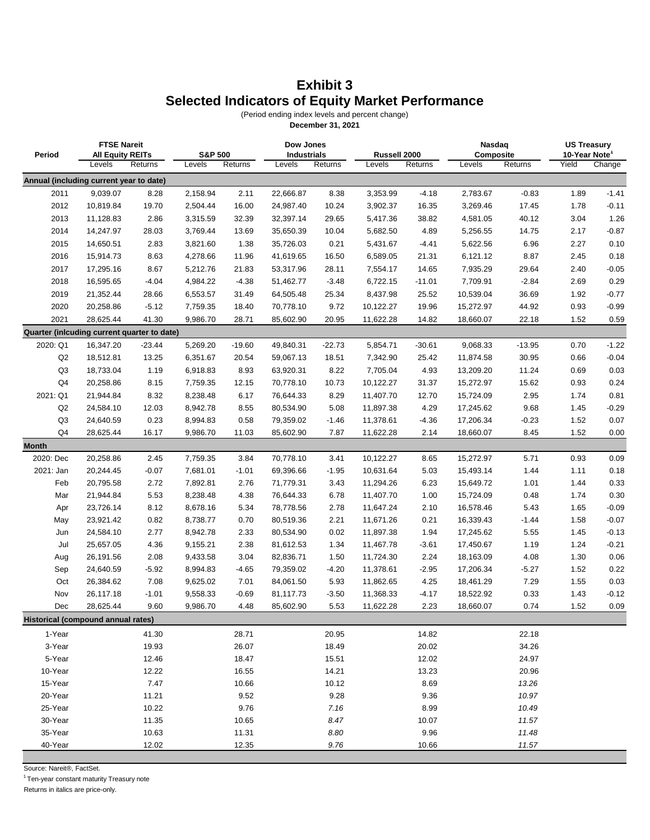# **Exhibit 3 Selected Indicators of Equity Market Performance**

(Period ending index levels and percent change)

**December 31, 2021**

| Period                                      | <b>FTSE Nareit</b><br><b>All Equity REITs</b> |          | Dow Jones<br><b>S&amp;P 500</b><br><b>Industrials</b><br>Russell 2000 |          |           | Nasdaq<br>Composite |           |          | <b>US Treasury</b><br>10-Year Note <sup>1</sup> |          |       |         |
|---------------------------------------------|-----------------------------------------------|----------|-----------------------------------------------------------------------|----------|-----------|---------------------|-----------|----------|-------------------------------------------------|----------|-------|---------|
|                                             | Levels                                        | Returns  | Levels                                                                | Returns  | Levels    | Returns             | Levels    | Returns  | Levels                                          | Returns  | Yield | Change  |
| Annual (including current year to date)     |                                               |          |                                                                       |          |           |                     |           |          |                                                 |          |       |         |
| 2011                                        | 9,039.07                                      | 8.28     | 2,158.94                                                              | 2.11     | 22,666.87 | 8.38                | 3,353.99  | $-4.18$  | 2,783.67                                        | $-0.83$  | 1.89  | $-1.41$ |
| 2012                                        | 10,819.84                                     | 19.70    | 2,504.44                                                              | 16.00    | 24,987.40 | 10.24               | 3,902.37  | 16.35    | 3,269.46                                        | 17.45    | 1.78  | $-0.11$ |
| 2013                                        | 11,128.83                                     | 2.86     | 3,315.59                                                              | 32.39    | 32,397.14 | 29.65               | 5,417.36  | 38.82    | 4,581.05                                        | 40.12    | 3.04  | 1.26    |
| 2014                                        | 14,247.97                                     | 28.03    | 3,769.44                                                              | 13.69    | 35,650.39 | 10.04               | 5,682.50  | 4.89     | 5,256.55                                        | 14.75    | 2.17  | $-0.87$ |
| 2015                                        | 14,650.51                                     | 2.83     | 3,821.60                                                              | 1.38     | 35,726.03 | 0.21                | 5,431.67  | $-4.41$  | 5,622.56                                        | 6.96     | 2.27  | 0.10    |
| 2016                                        | 15,914.73                                     | 8.63     | 4,278.66                                                              | 11.96    | 41,619.65 | 16.50               | 6,589.05  | 21.31    | 6,121.12                                        | 8.87     | 2.45  | 0.18    |
| 2017                                        | 17,295.16                                     | 8.67     | 5,212.76                                                              | 21.83    | 53,317.96 | 28.11               | 7,554.17  | 14.65    | 7,935.29                                        | 29.64    | 2.40  | $-0.05$ |
| 2018                                        | 16,595.65                                     | $-4.04$  | 4,984.22                                                              | $-4.38$  | 51,462.77 | $-3.48$             | 6,722.15  | $-11.01$ | 7,709.91                                        | $-2.84$  | 2.69  | 0.29    |
| 2019                                        | 21,352.44                                     | 28.66    | 6,553.57                                                              | 31.49    | 64,505.48 | 25.34               | 8,437.98  | 25.52    | 10,539.04                                       | 36.69    | 1.92  | $-0.77$ |
| 2020                                        | 20,258.86                                     | $-5.12$  | 7,759.35                                                              | 18.40    | 70,778.10 | 9.72                | 10,122.27 | 19.96    | 15,272.97                                       | 44.92    | 0.93  | $-0.99$ |
| 2021                                        | 28,625.44                                     | 41.30    | 9,986.70                                                              | 28.71    | 85,602.90 | 20.95               | 11,622.28 | 14.82    | 18,660.07                                       | 22.18    | 1.52  | 0.59    |
| Quarter (inlcuding current quarter to date) |                                               |          |                                                                       |          |           |                     |           |          |                                                 |          |       |         |
| 2020: Q1                                    | 16,347.20                                     | $-23.44$ | 5,269.20                                                              | $-19.60$ | 49,840.31 | $-22.73$            | 5,854.71  | $-30.61$ | 9,068.33                                        | $-13.95$ | 0.70  | $-1.22$ |
| Q2                                          | 18,512.81                                     | 13.25    | 6,351.67                                                              | 20.54    | 59,067.13 | 18.51               | 7,342.90  | 25.42    | 11,874.58                                       | 30.95    | 0.66  | $-0.04$ |
| Q <sub>3</sub>                              | 18,733.04                                     | 1.19     | 6,918.83                                                              | 8.93     | 63,920.31 | 8.22                | 7,705.04  | 4.93     | 13,209.20                                       | 11.24    | 0.69  | 0.03    |
| Q4                                          | 20,258.86                                     | 8.15     | 7,759.35                                                              | 12.15    | 70,778.10 | 10.73               | 10,122.27 | 31.37    | 15,272.97                                       | 15.62    | 0.93  | 0.24    |
| 2021: Q1                                    | 21,944.84                                     | 8.32     | 8,238.48                                                              | 6.17     | 76,644.33 | 8.29                | 11,407.70 | 12.70    | 15,724.09                                       | 2.95     | 1.74  | 0.81    |
| Q <sub>2</sub>                              | 24,584.10                                     | 12.03    | 8,942.78                                                              | 8.55     | 80,534.90 | 5.08                | 11,897.38 | 4.29     | 17,245.62                                       | 9.68     | 1.45  | $-0.29$ |
| Q <sub>3</sub>                              | 24,640.59                                     | 0.23     | 8,994.83                                                              | 0.58     | 79,359.02 | $-1.46$             | 11,378.61 | -4.36    | 17,206.34                                       | $-0.23$  | 1.52  | 0.07    |
| Q4                                          | 28,625.44                                     | 16.17    | 9,986.70                                                              | 11.03    | 85,602.90 | 7.87                | 11,622.28 | 2.14     | 18,660.07                                       | 8.45     | 1.52  | 0.00    |
| <b>Month</b>                                |                                               |          |                                                                       |          |           |                     |           |          |                                                 |          |       |         |
| 2020: Dec                                   | 20,258.86                                     | 2.45     | 7,759.35                                                              | 3.84     | 70,778.10 | 3.41                | 10,122.27 | 8.65     | 15,272.97                                       | 5.71     | 0.93  | 0.09    |
| 2021: Jan                                   | 20,244.45                                     | $-0.07$  | 7,681.01                                                              | $-1.01$  | 69,396.66 | $-1.95$             | 10,631.64 | 5.03     | 15,493.14                                       | 1.44     | 1.11  | 0.18    |
| Feb                                         | 20,795.58                                     | 2.72     | 7,892.81                                                              | 2.76     | 71,779.31 | 3.43                | 11,294.26 | 6.23     | 15,649.72                                       | 1.01     | 1.44  | 0.33    |
| Mar                                         | 21,944.84                                     | 5.53     | 8,238.48                                                              | 4.38     | 76,644.33 | 6.78                | 11,407.70 | 1.00     | 15,724.09                                       | 0.48     | 1.74  | 0.30    |
| Apr                                         | 23,726.14                                     | 8.12     | 8,678.16                                                              | 5.34     | 78,778.56 | 2.78                | 11,647.24 | 2.10     | 16,578.46                                       | 5.43     | 1.65  | $-0.09$ |
| May                                         | 23,921.42                                     | 0.82     | 8,738.77                                                              | 0.70     | 80,519.36 | 2.21                | 11,671.26 | 0.21     | 16,339.43                                       | $-1.44$  | 1.58  | $-0.07$ |
| Jun                                         | 24,584.10                                     | 2.77     | 8,942.78                                                              | 2.33     | 80,534.90 | 0.02                | 11,897.38 | 1.94     | 17,245.62                                       | 5.55     | 1.45  | $-0.13$ |
| Jul                                         | 25,657.05                                     | 4.36     | 9,155.21                                                              | 2.38     | 81,612.53 | 1.34                | 11,467.78 | $-3.61$  | 17,450.67                                       | 1.19     | 1.24  | $-0.21$ |
| Aug                                         | 26,191.56                                     | 2.08     | 9,433.58                                                              | 3.04     | 82,836.71 | 1.50                | 11,724.30 | 2.24     | 18,163.09                                       | 4.08     | 1.30  | 0.06    |
| Sep                                         | 24,640.59                                     | $-5.92$  | 8,994.83                                                              | $-4.65$  | 79,359.02 | $-4.20$             | 11,378.61 | -2.95    | 17,206.34                                       | $-5.27$  | 1.52  | 0.22    |
| Oct                                         | 26,384.62                                     | 7.08     | 9,625.02                                                              | 7.01     | 84,061.50 | 5.93                | 11,862.65 | 4.25     | 18,461.29                                       | 7.29     | 1.55  | 0.03    |
| Nov                                         | 26,117.18                                     | $-1.01$  | 9,558.33                                                              | $-0.69$  | 81,117.73 | $-3.50$             | 11,368.33 | -4.17    | 18,522.92                                       | 0.33     | 1.43  | $-0.12$ |
| Dec                                         | 28,625.44                                     | 9.60     | 9,986.70                                                              | 4.48     | 85,602.90 | 5.53                | 11,622.28 | 2.23     | 18,660.07                                       | 0.74     | 1.52  | 0.09    |
| Historical (compound annual rates)          |                                               |          |                                                                       |          |           |                     |           |          |                                                 |          |       |         |
| 1-Year                                      |                                               | 41.30    |                                                                       | 28.71    |           | 20.95               |           | 14.82    |                                                 | 22.18    |       |         |
| 3-Year                                      |                                               | 19.93    |                                                                       | 26.07    |           | 18.49               |           | 20.02    |                                                 | 34.26    |       |         |
| 5-Year                                      |                                               | 12.46    |                                                                       | 18.47    |           | 15.51               |           | 12.02    |                                                 | 24.97    |       |         |
| 10-Year                                     |                                               | 12.22    |                                                                       | 16.55    |           | 14.21               |           | 13.23    |                                                 | 20.96    |       |         |
| 15-Year                                     |                                               | 7.47     |                                                                       | 10.66    |           | 10.12               |           | 8.69     |                                                 | 13.26    |       |         |
| 20-Year                                     |                                               | 11.21    |                                                                       | 9.52     |           | 9.28                |           | 9.36     |                                                 | 10.97    |       |         |
| 25-Year                                     |                                               | 10.22    |                                                                       | 9.76     |           | 7.16                |           | 8.99     |                                                 | 10.49    |       |         |
| 30-Year                                     |                                               | 11.35    |                                                                       | 10.65    |           | 8.47                |           | 10.07    |                                                 | 11.57    |       |         |
| 35-Year                                     |                                               | 10.63    |                                                                       | 11.31    |           | 8.80                |           | 9.96     |                                                 | 11.48    |       |         |
| 40-Year                                     |                                               | 12.02    |                                                                       | 12.35    |           | 9.76                |           | 10.66    |                                                 | 11.57    |       |         |

Source: Nareit®, FactSet.

 $1$  Ten-year constant maturity Treasury note

Returns in italics are price-only.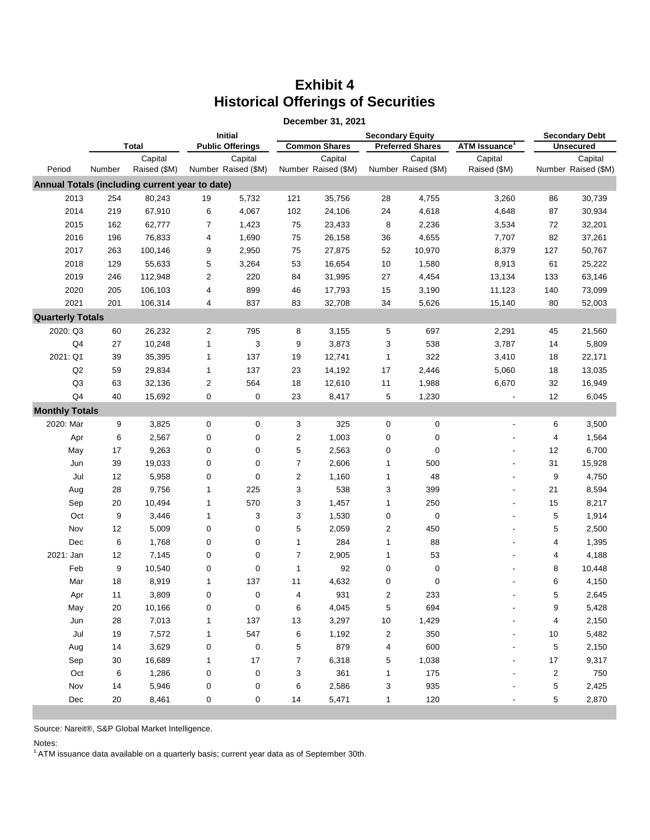# **Exhibit 4 Historical Offerings of Securities**

|                         | <b>Total</b> |                                                |              | Initial                        |      |                                |                         | <b>Secondary Equity</b>        |                          | <b>Secondary Debt</b> |                                |
|-------------------------|--------------|------------------------------------------------|--------------|--------------------------------|------|--------------------------------|-------------------------|--------------------------------|--------------------------|-----------------------|--------------------------------|
|                         |              |                                                |              | <b>Public Offerings</b>        |      | <b>Common Shares</b>           |                         | <b>Preferred Shares</b>        | <b>ATM Issuance</b>      | <b>Unsecured</b>      |                                |
| Period                  | Number       | Capital<br>Raised (\$M)                        |              | Capital<br>Number Raised (\$M) |      | Capital<br>Number Raised (\$M) |                         | Capital<br>Number Raised (\$M) | Capital<br>Raised (\$M)  |                       | Capital<br>Number Raised (\$M) |
|                         |              | Annual Totals (including current year to date) |              |                                |      |                                |                         |                                |                          |                       |                                |
| 2013                    | 254          | 80,243                                         | 19           | 5,732                          | 121  | 35,756                         | 28                      | 4,755                          | 3,260                    | 86                    | 30,739                         |
| 2014                    | 219          | 67,910                                         | 6            | 4,067                          | 102  | 24,106                         | 24                      | 4,618                          | 4,648                    | 87                    | 30,934                         |
| 2015                    | 162          | 62,777                                         | 7            | 1,423                          | 75   | 23,433                         | 8                       | 2,236                          | 3,534                    | 72                    | 32,201                         |
| 2016                    | 196          | 76,833                                         |              | 1,690                          | 75   | 26,158                         | 36                      | 4,655                          | 7,707                    | 82                    | 37,261                         |
| 2017                    | 263          | 100,146                                        | 4            | 2,950                          | 75   | 27,875                         | 52                      |                                |                          |                       | 50,767                         |
| 2018                    | 129          | 55,633                                         | 9            | 3,264                          | 53   |                                | 10                      | 10,970                         | 8,379<br>8,913           | 127                   |                                |
|                         |              |                                                | 5            |                                |      | 16,654                         |                         | 1,580                          |                          | 61                    | 25,222                         |
| 2019                    | 246          | 112,948                                        | 2            | 220                            | 84   | 31,995                         | 27                      | 4,454                          | 13,134                   | 133                   | 63,146                         |
| 2020                    | 205          | 106,103                                        | 4            | 899                            | 46   | 17,793                         | 15                      | 3,190                          | 11,123                   | 140                   | 73,099                         |
| 2021                    | 201          | 106,314                                        | 4            | 837                            | 83   | 32,708                         | 34                      | 5,626                          | 15,140                   | 80                    | 52,003                         |
| <b>Quarterly Totals</b> |              |                                                |              |                                |      |                                |                         |                                |                          |                       |                                |
| 2020: Q3                | 60           | 26,232                                         | 2            | 795                            | 8    | 3,155                          | 5                       | 697                            | 2,291                    | 45                    | 21,560                         |
| Q4                      | 27           | 10,248                                         | $\mathbf{1}$ | 3                              | 9    | 3,873                          | 3                       | 538                            | 3,787                    | 14                    | 5,809                          |
| 2021: Q1                | 39           | 35,395                                         | 1            | 137                            | 19   | 12,741                         | $\mathbf{1}$            | 322                            | 3,410                    | 18                    | 22,171                         |
| Q2                      | 59           | 29,834                                         | 1            | 137                            | 23   | 14,192                         | 17                      | 2,446                          | 5,060                    | 18                    | 13,035                         |
| Q3                      | 63           | 32,136                                         | 2            | 564                            | 18   | 12,610                         | 11                      | 1,988                          | 6,670                    | 32                    | 16,949                         |
| Q <sub>4</sub>          | 40           | 15,692                                         | $\pmb{0}$    | $\pmb{0}$                      | 23   | 8,417                          | 5                       | 1,230                          |                          | 12                    | 6,045                          |
| <b>Monthly Totals</b>   |              |                                                |              |                                |      |                                |                         |                                |                          |                       |                                |
| 2020: Mar               | 9            | 3,825                                          | 0            | $\pmb{0}$                      | 3    | 325                            | 0                       | 0                              | $\blacksquare$           | 6                     | 3,500                          |
| Apr                     | 6            | 2,567                                          | 0            | $\mathbf 0$                    | 2    | 1,003                          | 0                       | $\mathbf 0$                    |                          | 4                     | 1,564                          |
| May                     | 17           | 9,263                                          | 0            | $\pmb{0}$                      | 5    | 2,563                          | 0                       | $\pmb{0}$                      |                          | 12                    | 6,700                          |
| Jun                     | 39           | 19,033                                         | 0            | $\mathbf 0$                    | 7    | 2,606                          | 1                       | 500                            | $\overline{\phantom{0}}$ | 31                    | 15,928                         |
| Jul                     | 12           | 5,958                                          | 0            | $\mathbf 0$                    | 2    | 1,160                          | $\mathbf{1}$            | 48                             |                          | 9                     | 4,750                          |
| Aug                     | 28           | 9,756                                          | 1            | 225                            | 3    | 538                            | 3                       | 399                            |                          | 21                    | 8,594                          |
| Sep                     | 20           | 10,494                                         | 1            | 570                            | 3    | 1,457                          | $\mathbf{1}$            | 250                            |                          | 15                    | 8,217                          |
| Oct                     | 9            | 3,446                                          | 1            | 3                              | 3    | 1,530                          | 0                       | $\pmb{0}$                      |                          | 5                     | 1,914                          |
| Nov                     | 12           | 5,009                                          | 0            | $\pmb{0}$                      | 5    | 2,059                          | 2                       | 450                            |                          | 5                     | 2,500                          |
| Dec                     | 6            | 1,768                                          | 0            | $\pmb{0}$                      | 1    | 284                            | $\mathbf{1}$            | 88                             |                          | 4                     | 1,395                          |
| 2021: Jan               | 12           | 7,145                                          | 0            | $\pmb{0}$                      | 7    | 2,905                          | $\mathbf{1}$            | 53                             |                          | 4                     | 4,188                          |
| Feb                     | 9            | 10,540                                         | 0            | $\pmb{0}$                      | 1    | 92                             | 0                       | 0                              |                          | 8                     | 10,448                         |
| Mar                     | 18           | 8,919                                          | 1            | 137                            | 11   | 4,632                          | 0                       | 0                              |                          | 6                     | 4,150                          |
| Apr                     | 11           | 3,809                                          | 0            | 0                              | 4    | 931                            | 2                       | 233                            |                          | 5                     | 2,645                          |
| May                     | 20           | 10,166                                         | 0            | $\pmb{0}$                      | 6    | 4,045                          | 5                       | 694                            |                          | 9                     | 5,428                          |
| Jun                     | 28           | 7,013                                          | 1            | 137                            | 13   | 3,297                          | $10$                    | 1,429                          |                          | 4                     | 2,150                          |
| Jul                     | 19           | 7,572                                          | 1            | 547                            | 6    | 1,192                          | $\overline{\mathbf{c}}$ | 350                            |                          | 10                    | 5,482                          |
| Aug                     | 14           | 3,629                                          | 0            | $\pmb{0}$                      | 5    | 879                            | 4                       | 600                            |                          | 5                     | 2,150                          |
| Sep                     | 30           | 16,689                                         | 1            | $17$                           | 7    | 6,318                          | 5                       | 1,038                          |                          | 17                    | 9,317                          |
| Oct                     | 6            | 1,286                                          | 0            | $\pmb{0}$                      | 3    | 361                            | $\mathbf{1}$            | 175                            |                          | 2                     | 750                            |
| Nov                     | 14           | 5,946                                          | 0            | $\pmb{0}$                      | 6    | 2,586                          | 3                       | 935                            |                          | 5                     | 2,425                          |
| Dec                     | 20           | 8,461                                          | $\pmb{0}$    | 0                              | $14$ | 5,471                          | $\mathbf{1}$            | 120                            |                          | 5                     | 2,870                          |

Source: Nareit®, S&P Global Market Intelligence.

Notes:

 $1$  ATM issuance data available on a quarterly basis; current year data as of September 30th.